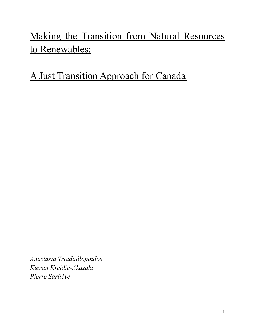# Making the Transition from Natural Resources to Renewables:

A Just Transition Approach for Canada

*Anastasia Triadafilopoulos Kieran Kreidié-Akazaki Pierre Sarliève*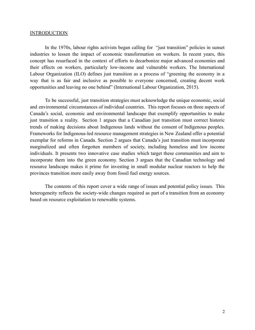#### INTRODUCTION

In the 1970s, labour rights activists began calling for "just transition" policies in sunset industries to lessen the impact of economic transformation on workers. In recent years, this concept has resurfaced in the context of efforts to decarbonize major advanced economies and their effects on workers, particularly low-income and vulnerable workers. The International Labour Organization (ILO) defines just transition as a process of "greening the economy in a way that is as fair and inclusive as possible to everyone concerned, creating decent work opportunities and leaving no one behind" (International Labour Organization, 2015).

To be successful, just transition strategies must acknowledge the unique economic, social and environmental circumstances of individual countries. This report focuses on three aspects of Canada's social, economic and environmental landscape that exemplify opportunities to make just transition a reality. Section 1 argues that a Canadian just transition must correct historic trends of making decisions about Indigenous lands without the consent of Indigenous peoples. Frameworks for Indigenous-led resource management strategies in New Zealand offer a potential exemplar for reforms in Canada. Section 2 argues that Canada's just transition must incorporate marginalized and often forgotten members of society, including homeless and low income individuals. It presents two innovative case studies which target these communities and aim to incorporate them into the green economy. Section 3 argues that the Canadian technology and resource landscape makes it prime for investing in small modular nuclear reactors to help the provinces transition more easily away from fossil fuel energy sources.

The contents of this report cover a wide range of issues and potential policy issues. This heterogeneity reflects the society-wide changes required as part of a transition from an economy based on resource exploitation to renewable systems.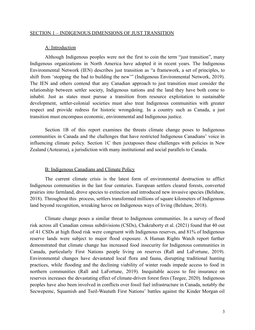## SECTION 1 – INDIGENOUS DIMENSIONS OF JUST TRANSITION

#### A: Introduction

Although Indigenous peoples were not the first to coin the term "just transition", many Indigenous organizations in North America have adopted it in recent years. The Indigenous Environmental Network (IEN) describes just transition as "a framework, a set of principles, to shift from 'stopping the bad to building the new'" (Indigenous Environmental Network, 2019). The IEN and others contend that any Canadian approach to just transition must consider the relationship between settler society, Indigenous nations and the land they have both come to inhabit. Just as states must pursue a transition from resource exploitation to sustainable development, settler-colonial societies must also treat Indigenous communities with greater respect and provide redress for historic wrongdoing. In a country such as Canada, a just transition must encompass economic, environmental and Indigenous justice.

Section 1B of this report examines the threats climate change poses to Indigenous communities in Canada and the challenges that have restricted Indigenous Canadians' voice in influencing climate policy. Section 1C then juxtaposes these challenges with policies in New Zealand (Aotearoa), a jurisdiction with many institutional and social parallels to Canada.

#### B: Indigenous Canadians and Climate Policy

The current climate crisis is the latest form of environmental destruction to afflict Indigenous communities in the last four centuries. European settlers cleared forests, converted prairies into farmland, drove species to extinction and introduced new invasive species (Belshaw, 2018). Throughout this process, settlers transformed millions of square kilometers of Indigenous land beyond recognition, wreaking havoc on Indigenous ways of living (Belshaw, 2018).

Climate change poses a similar threat to Indigenous communities. In a survey of flood risk across all Canadian census subdivisions (CSDs), Chakraborty et al. (2021) found that 40 out of 41 CSDs at high flood risk were congruent with Indigenous reserves, and 81% of Indigenous reserve lands were subject to major flood exposure. A Human Rights Watch report further demonstrated that climate change has increased food insecurity for Indigenous communities in Canada, particularly First Nations people living on reserves (Rall and LaFortune, 2019). Environmental changes have devastated local flora and fauna, disrupting traditional hunting practices, while flooding and the declining viability of winter roads impede access to food in northern communities (Rall and LaFortune, 2019). Inequitable access to fire insurance on reserves increases the devastating effect of climate-driven forest fires (Teegee, 2020). Indigenous peoples have also been involved in conflicts over fossil fuel infrastructure in Canada, notably the Secwepemc, Squamish and Tseil-Waututh First Nations' battles against the Kinder Morgan oil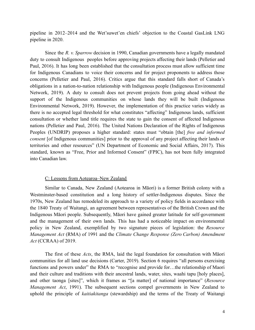pipeline in 2012–2014 and the Wet'suwet'en chiefs' objection to the Coastal GasLink LNG pipeline in 2020.

Since the *R. v. Sparrow* decision in 1990, Canadian governments have a legally mandated duty to consult Indigenous peoples before approving projects affecting their lands (Pelletier and Paul, 2016). It has long been established that the consultation process must allow sufficient time for Indigenous Canadians to voice their concerns and for project proponents to address those concerns (Pelletier and Paul, 2016). Critics argue that this standard falls short of Canada's obligations in a nation-to-nation relationship with Indigenous people (Indigenous Environmental Network, 2019). A duty to consult does not prevent projects from going ahead without the support of the Indigenous communities on whose lands they will be built (Indigenous Environmental Network, 2019). However, the implementation of this practice varies widely as there is no accepted legal threshold for what constitutes "affecting" Indigenous lands, sufficient consultation or whether land title requires the state to gain the consent of affected Indigenous nations (Pelletier and Paul, 2016). The United Nations Declaration of the Rights of Indigenous Peoples (UNDRIP) proposes a higher standard: states must "obtain [the] *free and informed consent* [of Indigenous communities] prior to the approval of any project affecting their lands or territories and other resources" (UN Department of Economic and Social Affairs, 2017). This standard, known as "Free, Prior and Informed Consent" (FPIC), has not been fully integrated into Canadian law.

## C: Lessons from Aotearoa–New Zealand

Similar to Canada, New Zealand (Aotearoa in Māori) is a former British colony with a Westminster-based constitution and a long history of settler-Indigenous disputes. Since the 1970s, New Zealand has remodeled its approach to a variety of policy fields in accordance with the 1840 Treaty of Waitangi, an agreement between representatives of the British Crown and the Indigenous Māori people. Subsequently, Māori have gained greater latitude for self-government and the management of their own lands. This has had a noticeable impact on environmental policy in New Zealand, exemplified by two signature pieces of legislation: the *Resource Management Act* (RMA) of 1991 and the *Climate Change Response (Zero Carbon) Amendment Act* (CCRAA) of 2019.

The first of these *Acts*, the RMA, laid the legal foundation for consultation with Māori communities for all land use decisions (Carter, 2019). Section 6 requires "all persons exercising functions and powers under" the RMA to "recognise and provide for...the relationship of Maori and their culture and traditions with their ancestral lands, water, sites, waahi tapu [holy places], and other taonga [sites]", which it frames as "[a matter] of national importance" (*Resource Management Act*, 1991). The subsequent sections compel governments in New Zealand to uphold the principle of *kaitiakitanga* (stewardship) and the terms of the Treaty of Waitangi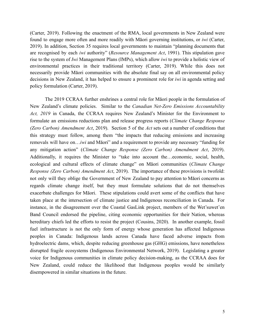(Carter, 2019). Following the enactment of the RMA, local governments in New Zealand were found to engage more often and more readily with Māori governing institutions, or *iwi* (Carter, 2019). In addition, Section 35 requires local governments to maintain "planning documents that are recognised by each *iwi* authority" (*Resource Management Act*, 1991). This stipulation gave rise to the system of *Iwi* Management Plans (IMPs), which allow *iwi* to provide a holistic view of environmental practices in their traditional territory (Carter, 2019). While this does not necessarily provide Māori communities with the absolute final say on all environmental policy decisions in New Zealand, it has helped to ensure a prominent role for *iwi* in agenda setting and policy formulation (Carter, 2019).

The 2019 CCRAA further enshrines a central role for Māori people in the formulation of New Zealand's climate policies. Similar to the *Canadian Net-Zero Emissions Accountability Act, 2019* in Canada, the CCRAA requires New Zealand's Minister for the Environment to formulate an emissions reductions plan and release progress reports (*Climate Change Response (Zero Carbon) Amendment Act*, 2019). Section 5 of the *Act* sets out a number of conditions that this strategy must follow, among them "the impacts that reducing emissions and increasing removals will have on…*iwi* and Māori" and a requirement to provide any necessary "funding for any mitigation action" (*Climate Change Response (Zero Carbon) Amendment Act*, 2019). Additionally, it requires the Minister to "take into account the…economic, social, health, ecological and cultural effects of climate change" on Māori communities (*Climate Change Response (Zero Carbon) Amendment Act*, 2019). The importance of these provisions is twofold: not only will they oblige the Government of New Zealand to pay attention to Māori concerns as regards climate change itself, but they must formulate solutions that do not themselves exacerbate challenges for Māori. These stipulations could avert some of the conflicts that have taken place at the intersection of climate justice and Indigenous reconciliation in Canada. For instance, in the disagreement over the Coastal GasLink project, members of the Wet'suwet'en Band Council endorsed the pipeline, citing economic opportunities for their Nation, whereas hereditary chiefs led the efforts to resist the project (Cousins, 2020). In another example, fossil fuel infrastructure is not the only form of energy whose generation has affected Indigenous peoples in Canada: Indigenous lands across Canada have faced adverse impacts from hydroelectric dams, which, despite reducing greenhouse gas (GHG) emissions, have nonetheless disrupted fragile ecosystems (Indigenous Environmental Network, 2019). Legislating a greater voice for Indigenous communities in climate policy decision-making, as the CCRAA does for New Zealand, could reduce the likelihood that Indigenous peoples would be similarly disempowered in similar situations in the future.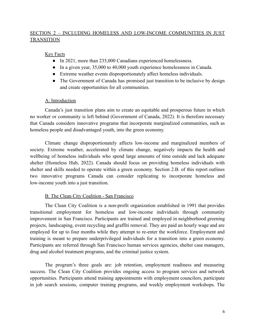# SECTION 2 – INCLUDING HOMELESS AND LOW-INCOME COMMUNITIES IN JUST **TRANSITION**

## Key Facts

- In 2021, more than 235,000 Canadians experienced homelessness.
- In a given year, 35,000 to 40,000 youth experience homelessness in Canada.
- Extreme weather events disproportionately affect homeless individuals.
- The Government of Canada has promised just transition to be inclusive by design and create opportunities for all communities.

## A: Introduction

Canada's just transition plans aim to create an equitable and prosperous future in which no worker or community is left behind (Government of Canada, 2022). It is therefore necessary that Canada considers innovative programs that incorporate marginalized communities, such as homeless people and disadvantaged youth, into the green economy.

Climate change disproportionately affects low-income and marginalized members of society. Extreme weather, accelerated by climate change, negatively impacts the health and wellbeing of homeless individuals who spend large amounts of time outside and lack adequate shelter (Homeless Hub, 2022). Canada should focus on providing homeless individuals with shelter and skills needed to operate within a green economy. Section 2.B. of this report outlines two innovative programs Canada can consider replicating to incorporate homeless and low-income youth into a just transition.

# B: The Clean City Coalition - San Francisco

The Clean City Coalition is a non-profit organization established in 1991 that provides transitional employment for homeless and low-income individuals through community improvement in San Francisco. Participants are trained and employed in neighborhood greening projects, landscaping, event recycling and graffiti removal. They are paid an hourly wage and are employed for up to four months while they attempt to re-enter the workforce. Employment and training is meant to prepare underprivileged individuals for a transition into a green economy. Participants are referred through San Francisco human services agencies, shelter case managers, drug and alcohol treatment programs, and the criminal justice system.

The program's three goals are: job retention, employment readiness and measuring success. The Clean City Coalition provides ongoing access to program services and network opportunities. Participants attend training appointments with employment councilors, participate in job search sessions, computer training programs, and weekly employment workshops. The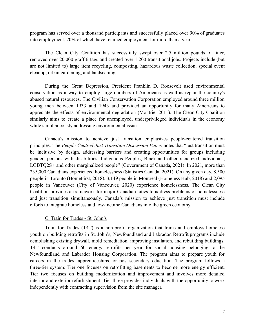program has served over a thousand participants and successfully placed over 90% of graduates into employment, 70% of which have retained employment for more than a year.

The Clean City Coalition has successfully swept over 2.5 million pounds of litter, removed over 20,000 graffiti tags and created over 1,200 transitional jobs. Projects include (but are not limited to) large item recycling, composting, hazardous waste collection, special event cleanup, urban gardening, and landscaping.

During the Great Depression, President Franklin D. Roosevelt used environmental conservation as a way to employ large numbers of Americans as well as repair the country's abused natural resources. The Civilian Conservation Corporation employed around three million young men between 1933 and 1943 and provided an opportunity for many Americans to appreciate the effects of environmental degradation (Montrie, 2011). The Clean City Coalition similarly aims to create a place for unemployed, underprivileged individuals in the economy while simultaneously addressing environmental issues.

Canada's mission to achieve just transition emphasizes people-centered transition principles. The *People-Centred Just Transition Discussion Paper,* notes that "just transition must be inclusive by design, addressing barriers and creating opportunities for groups including gender, persons with disabilities, Indigenous Peoples, Black and other racialized individuals, LGBTQ2S+ and other marginalized people" (Government of Canada, 2021). In 2021, more than 235,000 Canadians experienced homelessness (Statistics Canada, 2021). On any given day, 8,500 people in Toronto (HomeFirst, 2018), 3,149 people in Montreal (Homeless Hub, 2018) and 2,095 people in Vancouver (City of Vancouver, 2020) experience homelessness. The Clean City Coalition provides a framework for major Canadian cities to address problems of homelessness and just transition simultaneously. Canada's mission to achieve just transition must include efforts to integrate homeless and low-income Canadians into the green economy.

## C: Train for Trades - St. John's

Train for Trades (T4T) is a non-profit organization that trains and employs homeless youth on building retrofits in St. John's, Newfoundland and Labrador. Retrofit programs include demolishing existing drywall, mold remediation, improving insulation, and rebuilding buildings. T4T conducts around 60 energy retrofits per year for social housing belonging to the Newfoundland and Labrador Housing Corporation. The program aims to prepare youth for careers in the trades, apprenticeships, or post-secondary education. The program follows a three-tier system: Tier one focuses on retrofitting basements to become more energy efficient. Tier two focuses on building modernization and improvement and involves more detailed interior and exterior refurbishment. Tier three provides individuals with the opportunity to work independently with contracting supervision from the site manager.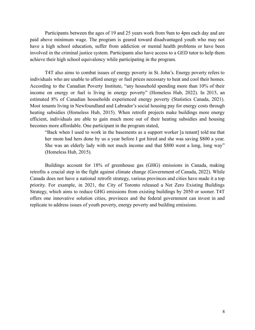Participants between the ages of 19 and 25 years work from 9am to 4pm each day and are paid above minimum wage. The program is geared toward disadvantaged youth who may not have a high school education, suffer from addiction or mental health problems or have been involved in the criminal justice system. Participants also have access to a GED tutor to help them achieve their high school equivalency while participating in the program.

T4T also aims to combat issues of energy poverty in St. John's. Energy poverty refers to individuals who are unable to afford energy or fuel prices necessary to heat and cool their homes. According to the Canadian Poverty Institute, "any household spending more than 10% of their income on energy or fuel is living in energy poverty" (Homeless Hub, 2022). In 2015, an estimated 8% of Canadian households experienced energy poverty (Statistics Canada, 2021). Most tenants living in Newfoundland and Labrador's social housing pay for energy costs through heating subsidies (Homeless Hub, 2015). When retrofit projects make buildings more energy efficient, individuals are able to gain much more out of their heating subsidies and housing becomes more affordable. One participant in the program stated,

"Back when I used to work in the basements as a support worker [a tenant] told me that her mom had hers done by us a year before I got hired and she was saving \$800 a year. She was an elderly lady with not much income and that \$800 went a long, long way" (Homeless Hub, 2015).

Buildings account for 18% of greenhouse gas (GHG) emissions in Canada, making retrofits a crucial step in the fight against climate change (Government of Canada, 2022). While Canada does not have a national retrofit strategy, various provinces and cities have made it a top priority. For example, in 2021, the City of Toronto released a Net Zero Existing Buildings Strategy, which aims to reduce GHG emissions from existing buildings by 2050 or sooner. T4T offers one innovative solution cities, provinces and the federal government can invest in and replicate to address issues of youth poverty, energy poverty and building emissions.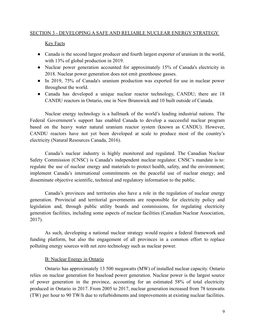## SECTION 3 - DEVELOPING A SAFE AND RELIABLE NUCLEAR ENERGY STRATEGY

## Key Facts

- Canada is the second largest producer and fourth largest exporter of uranium in the world, with 13% of global production in 2019.
- Nuclear power generation accounted for approximately 15% of Canada's electricity in 2018. Nuclear power generation does not emit greenhouse gasses.
- In 2019, 75% of Canada's uranium production was exported for use in nuclear power throughout the world.
- Canada has developed a unique nuclear reactor technology, CANDU; there are 18 CANDU reactors in Ontario, one in New Brunswick and 10 built outside of Canada.

Nuclear energy technology is a hallmark of the world's leading industrial nations. The Federal Government's support has enabled Canada to develop a successful nuclear program based on the heavy water natural uranium reactor system (known as CANDU). However, CANDU reactors have not yet been developed at scale to produce most of the country's electricity (Natural Resources Canada, 2016).

Canada's nuclear industry is highly monitored and regulated. The Canadian Nuclear Safety Commission (CNSC) is Canada's independent nuclear regulator. CNSC's mandate is to: regulate the use of nuclear energy and materials to protect health, safety, and the environment; implement Canada's international commitments on the peaceful use of nuclear energy; and disseminate objective scientific, technical and regulatory information to the public.

Canada's provinces and territories also have a role in the regulation of nuclear energy generation. Provincial and territorial governments are responsible for electricity policy and legislation and, through public utility boards and commissions, for regulating electricity generation facilities, including some aspects of nuclear facilities (Canadian Nuclear Association, 2017).

As such, developing a national nuclear strategy would require a federal framework and funding platform, but also the engagement of all provinces in a common effort to replace polluting energy sources with net zero technology such as nuclear power.

# B: Nuclear Energy in Ontario

Ontario has approximately 13 500 megawatts (MW) of installed nuclear capacity. Ontario relies on nuclear generation for baseload power generation. Nuclear power is the largest source of power generation in the province, accounting for an estimated 58% of total electricity produced in Ontario in 2017. From 2005 to 2017, nuclear generation increased from 78 terawatts (TW) per hour to 90 TW/h due to refurbishments and improvements at existing nuclear facilities.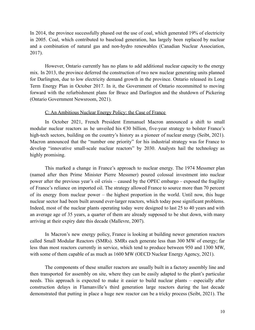In 2014, the province successfully phased out the use of coal, which generated 19% of electricity in 2005. Coal, which contributed to baseload generation, has largely been replaced by nuclear and a combination of natural gas and non-hydro renewables (Canadian Nuclear Association, 2017).

However, Ontario currently has no plans to add additional nuclear capacity to the energy mix. In 2013, the province deferred the construction of two new nuclear generating units planned for Darlington, due to low electricity demand growth in the province. Ontario released its Long Term Energy Plan in October 2017. In it, the Government of Ontario recommitted to moving forward with the refurbishment plans for Bruce and Darlington and the shutdown of Pickering (Ontario Government Newsroom, 2021).

## C: An Ambitious Nuclear Energy Policy: the Case of France

In October 2021, French President Emmanuel Macron announced a shift to small modular nuclear reactors as he unveiled his  $\epsilon$ 30 billion, five-year strategy to bolster France's high-tech sectors, building on the country's history as a pioneer of nuclear energy (Seibt, 2021). Macron announced that the "number one priority" for his industrial strategy was for France to develop "innovative small-scale nuclear reactors" by 2030. Analysts hail the technology as highly promising.

This marked a change in France's approach to nuclear energy. The 1974 Messmer plan (named after then Prime Minister Pierre Messmer) poured colossal investment into nuclear power after the previous year's oil crisis – caused by the OPEC embargo – exposed the fragility of France's reliance on imported oil. The strategy allowed France to source more than 70 percent of its energy from nuclear power – the highest proportion in the world. Until now, this huge nuclear sector had been built around ever-larger reactors, which today pose significant problems. Indeed, most of the nuclear plants operating today were designed to last 25 to 40 years and with an average age of 35 years, a quarter of them are already supposed to be shut down, with many arriving at their expiry date this decade (Mallevre, 2007).

In Macron's new energy policy, France is looking at building newer generation reactors called Small Modular Reactors (SMRs). SMRs each generate less than 300 MW of energy; far less than most reactors currently in service, which tend to produce between 950 and 1300 MW, with some of them capable of as much as 1600 MW (OECD Nuclear Energy Agency, 2021).

The components of these smaller reactors are usually built in a factory assembly line and then transported for assembly on site, where they can be easily adapted to the plant's particular needs. This approach is expected to make it easier to build nuclear plants – especially after construction delays in Flamanville's third generation large reactors during the last decade demonstrated that putting in place a huge new reactor can be a tricky process (Seibt, 2021). The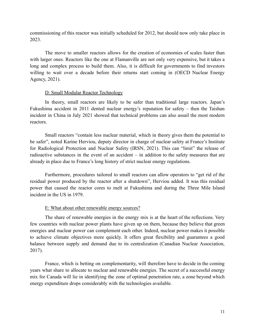commissioning of this reactor was initially scheduled for 2012, but should now only take place in 2023.

The move to smaller reactors allows for the creation of economies of scales faster than with larger ones. Reactors like the one at Flamanville are not only very expensive, but it takes a long and complex process to build them. Also, it is difficult for governments to find investors willing to wait over a decade before their returns start coming in (OECD Nuclear Energy Agency, 2021).

## D: Small Modular Reactor Technology

In theory, small reactors are likely to be safer than traditional large reactors. Japan's Fukushima accident in 2011 dented nuclear energy's reputation for safety – then the Taishan incident in China in July 2021 showed that technical problems can also assail the most modern reactors.

Small reactors "contain less nuclear material, which in theory gives them the potential to be safer", noted Karine Herviou, deputy director in charge of nuclear safety at France's Institute for Radiological Protection and Nuclear Safety (IRSN, 2021). This can "limit" the release of radioactive substances in the event of an accident – in addition to the safety measures that are already in place due to France's long history of strict nuclear energy regulations.

Furthermore, procedures tailored to small reactors can allow operators to "get rid of the residual power produced by the reactor after a shutdown", Herviou added. It was this residual power that caused the reactor cores to melt at Fukushima and during the Three Mile Island incident in the US in 1979.

# E: What about other renewable energy sources?

The share of renewable energies in the energy mix is at the heart of the reflections. Very few countries with nuclear power plants have given up on them, because they believe that green energies and nuclear power can complement each other. Indeed, nuclear power makes it possible to achieve climate objectives more quickly. It offers great flexibility and guarantees a good balance between supply and demand due to its centralization (Canadian Nuclear Association, 2017).

France, which is betting on complementarity, will therefore have to decide in the coming years what share to allocate to nuclear and renewable energies. The secret of a successful energy mix for Canada will lie in identifying the zone of optimal penetration rate, a zone beyond which energy expenditure drops considerably with the technologies available.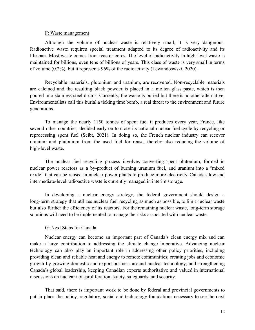#### F: Waste management

Although the volume of nuclear waste is relatively small, it is very dangerous. Radioactive waste requires special treatment adapted to its degree of radioactivity and its lifespan. Most waste comes from reactor cores. The level of radioactivity in high-level waste is maintained for billions, even tens of billions of years. This class of waste is very small in terms of volume (0.2%), but it represents 96% of the radioactivity (Lewandoswski, 2020).

Recyclable materials, plutonium and uranium, are recovered. Non-recyclable materials are calcined and the resulting black powder is placed in a molten glass paste, which is then poured into stainless steel drums. Currently, the waste is buried but there is no other alternative. Environmentalists call this burial a ticking time bomb, a real threat to the environment and future generations.

To manage the nearly 1150 tonnes of spent fuel it produces every year, France, like several other countries, decided early on to close its national nuclear fuel cycle by recycling or reprocessing spent fuel (Seibt, 2021). In doing so, the French nuclear industry can recover uranium and plutonium from the used fuel for reuse, thereby also reducing the volume of high-level waste.

The nuclear fuel recycling process involves converting spent plutonium, formed in nuclear power reactors as a by-product of burning uranium fuel, and uranium into a "mixed oxide" that can be reused in nuclear power plants to produce more electricity. Canada's low and intermediate-level radioactive waste is currently managed in interim storage.

In developing a nuclear energy strategy, the federal government should design a long-term strategy that utilizes nuclear fuel recycling as much as possible, to limit nuclear waste but also further the efficiency of its reactors. For the remaining nuclear waste, long-term storage solutions will need to be implemented to manage the risks associated with nuclear waste.

## G: Next Steps for Canada

Nuclear energy can become an important part of Canada's clean energy mix and can make a large contribution to addressing the climate change imperative. Advancing nuclear technology can also play an important role in addressing other policy priorities, including providing clean and reliable heat and energy to remote communities; creating jobs and economic growth by growing domestic and export business around nuclear technology; and strengthening Canada's global leadership, keeping Canadian experts authoritative and valued in international discussions on nuclear non-proliferation, safety, safeguards, and security.

That said, there is important work to be done by federal and provincial governments to put in place the policy, regulatory, social and technology foundations necessary to see the next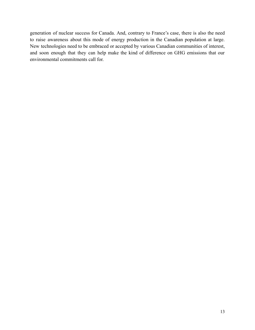generation of nuclear success for Canada. And, contrary to France's case, there is also the need to raise awareness about this mode of energy production in the Canadian population at large. New technologies need to be embraced or accepted by various Canadian communities of interest, and soon enough that they can help make the kind of difference on GHG emissions that our environmental commitments call for.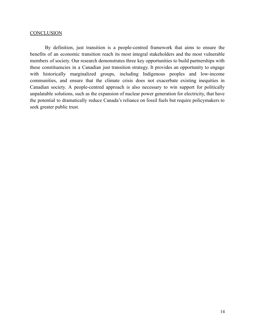#### **CONCLUSION**

By definition, just transition is a people-centred framework that aims to ensure the benefits of an economic transition reach its most integral stakeholders and the most vulnerable members of society. Our research demonstrates three key opportunities to build partnerships with these constituencies in a Canadian just transition strategy. It provides an opportunity to engage with historically marginalized groups, including Indigenous peoples and low-income communities, and ensure that the climate crisis does not exacerbate existing inequities in Canadian society. A people-centred approach is also necessary to win support for politically unpalatable solutions, such as the expansion of nuclear power generation for electricity, that have the potential to dramatically reduce Canada's reliance on fossil fuels but require policymakers to seek greater public trust.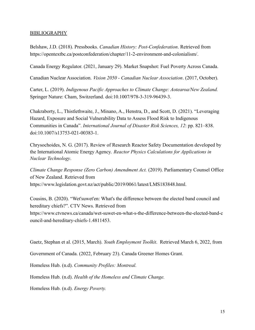## BIBLIOGRAPHY

Belshaw, J.D. (2018). Pressbooks. *Canadian History: Post-Confederation*. Retrieved from https://opentextbc.ca/postconfederation/chapter/11-2-environment-and-colonialism/.

Canada Energy Regulator. (2021, January 29). Market Snapshot: Fuel Poverty Across Canada.

Canadian Nuclear Association. *Vision 2050 - Canadian Nuclear Association*. (2017, October).

Carter, L. (2019). *Indigenous Pacific Approaches to Climate Change: Aotearoa/New Zealand.* Springer Nature: Cham, Switzerland. doi:10.1007/978-3-319-96439-3.

Chakraborty, L., Thistlethwaite, J., Minano, A., Henstra, D., and Scott, D. (2021). "Leveraging Hazard, Exposure and Social Vulnerability Data to Assess Flood Risk to Indigenous Communities in Canada". *International Journal of Disaster Risk Sciences, 12*: pp. 821–838. doi:10.1007/s13753-021-00383-1.

Chrysochoides, N. G. (2017). Review of Research Reactor Safety Documentation developed by the International Atomic Energy Agency. *Reactor Physics Calculations for Applications in Nuclear Technology*.

*Climate Change Response (Zero Carbon) Amendment Act.* (2019). Parliamentary Counsel Office of New Zealand. Retrieved from https://www.legislation.govt.nz/act/public/2019/0061/latest/LMS183848.html.

Cousins, B. (2020). "Wet'suwet'en: What's the difference between the elected band council and hereditary chiefs?". CTV News. Retrieved from https://www.ctvnews.ca/canada/wet-suwet-en-what-s-the-difference-between-the-elected-band-c ouncil-and-hereditary-chiefs-1.4811453.

Gaetz, Stephan et al. (2015, March). *Youth Employment Toolkit*. Retrieved March 6, 2022, from

Government of Canada. (2022, February 23). Canada Greener Homes Grant.

Homeless Hub. (n.d). *Community Profiles: Montreal.*

Homeless Hub. (n.d). *Health of the Homeless and Climate Change.*

Homeless Hub. (n.d). *Energy Poverty.*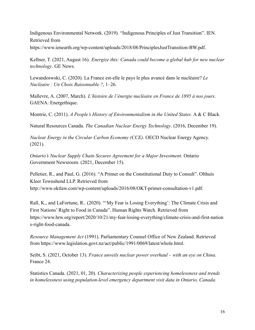Indigenous Environmental Network. (2019). "Indigenous Principles of Just Transition". IEN. Retrieved from https://www.ienearth.org/wp-content/uploads/2018/08/PrinciplesJustTransition-BW.pdf.

Kellner, T. (2021, August 16). *Energize this: Canada could become a global hub for new nuclear technology*. GE News.

Lewandoswski, C. (2020). La France est-elle le pays le plus avancé dans le nucléaire? *Le Nucléaire : Un Choix Raisonnable ?*, 1–26.

Mallevre, A. (2007, March). *L'histoire de l'énergie nucléaire en France de 1895 à nos jours*. GAENA: Energethique.

Montrie, C. (2011). *A People's History of Environmentalism in the United States.* A & C Black.

Natural Resources Canada. *The Canadian Nuclear Energy Technology*. (2016, December 19).

*Nuclear Energy in the Circular Carbon Economy (CCE)*. OECD Nuclear Energy Agency. (2021).

*Ontario's Nuclear Supply Chain Secures Agreement for a Major Investment*. Ontario Government Newsroom. (2021, December 15).

Pelletier, R., and Paul, G. (2016). "A Primer on the Constitutional Duty to Consult". Olthuis Kleer Townshend LLP. Retrieved from http://www.oktlaw.com/wp-content/uploads/2016/08/OKT-primer-consultation-v1.pdf.

Rall, K., and LaFortune, R.. (2020). "'My Fear is Losing Everything': The Climate Crisis and First Nations' Right to Food in Canada". Human Rights Watch. Retrieved from https://www.hrw.org/report/2020/10/21/my-fear-losing-everything/climate-crisis-and-first-nation s-right-food-canada.

*Resource Management Act* (1991). Parliamentary Counsel Office of New Zealand. Retrieved from https://www.legislation.govt.nz/act/public/1991/0069/latest/whole.html.

Seibt, S. (2021, October 13). *France unveils nuclear power overhaul – with an eye on China*. France 24.

Statistics Canada. (2021, 01, 20). *Characterizing people experiencing homelessness and trends in homelessness using population-level emergency department visit data in Ontario, Canada.*